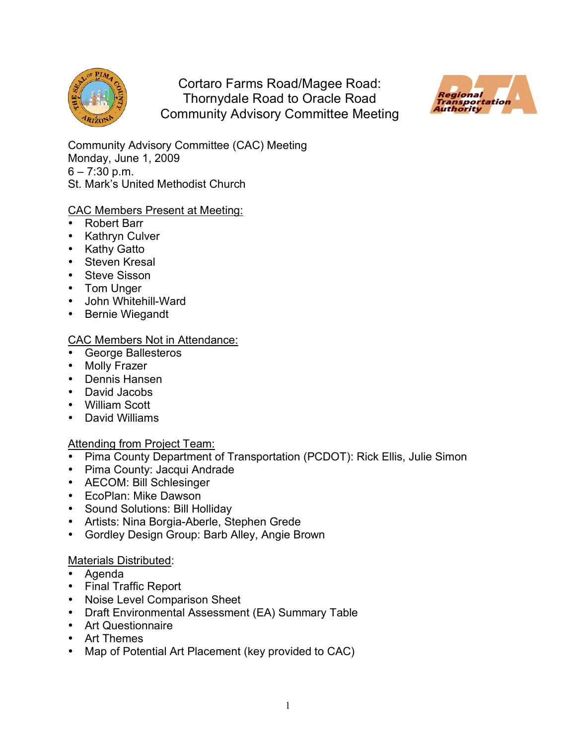

Cortaro Farms Road/Magee Road: Thornydale Road to Oracle Road Community Advisory Committee Meeting



Community Advisory Committee (CAC) Meeting Monday, June 1, 2009  $6 - 7:30$  p.m. St. Mark's United Methodist Church

## CAC Members Present at Meeting:

- Robert Barr
- Kathryn Culver
- Kathy Gatto
- Steven Kresal
- Steve Sisson
- Tom Unger
- John Whitehill-Ward
- Bernie Wiegandt

## CAC Members Not in Attendance:

- George Ballesteros
- Molly Frazer
- Dennis Hansen
- David Jacobs
- William Scott
- David Williams

# Attending from Project Team:

- Pima County Department of Transportation (PCDOT): Rick Ellis, Julie Simon
- Pima County: Jacqui Andrade
- AECOM: Bill Schlesinger
- EcoPlan: Mike Dawson
- Sound Solutions: Bill Holliday
- Artists: Nina Borgia-Aberle, Stephen Grede
- Gordley Design Group: Barb Alley, Angie Brown

### Materials Distributed:

- Agenda
- Final Traffic Report
- Noise Level Comparison Sheet
- Draft Environmental Assessment (EA) Summary Table
- Art Questionnaire
- Art Themes
- Map of Potential Art Placement (key provided to CAC)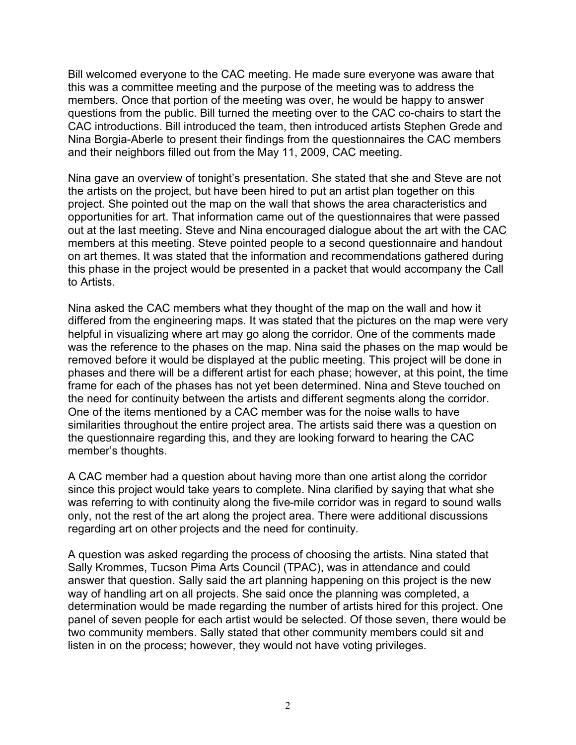Bill welcomed everyone to the CAC meeting. He made sure everyone was aware that this was a committee meeting and the purpose of the meeting was to address the members. Once that portion of the meeting was over, he would be happy to answer questions from the public. Bill turned the meeting over to the CAC co-chairs to start the CAC introductions. Bill introduced the team, then introduced artists Stephen Grede and Nina Borgia-Aberle to present their findings from the questionnaires the CAC members and their neighbors filled out from the May 11, 2009, CAC meeting.

Nina gave an overview of tonight's presentation. She stated that she and Steve are not the artists on the project, but have been hired to put an artist plan together on this project. She pointed out the map on the wall that shows the area characteristics and opportunities for art. That information came out of the questionnaires that were passed out at the last meeting. Steve and Nina encouraged dialogue about the art with the CAC members at this meeting. Steve pointed people to a second questionnaire and handout on art themes. It was stated that the information and recommendations gathered during this phase in the project would be presented in a packet that would accompany the Call to Artists.

Nina asked the CAC members what they thought of the map on the wall and how it differed from the engineering maps. It was stated that the pictures on the map were very helpful in visualizing where art may go along the corridor. One of the comments made was the reference to the phases on the map. Nina said the phases on the map would be removed before it would be displayed at the public meeting. This project will be done in phases and there will be a different artist for each phase; however, at this point, the time frame for each of the phases has not yet been determined. Nina and Steve touched on the need for continuity between the artists and different segments along the corridor. One of the items mentioned by a CAC member was for the noise walls to have similarities throughout the entire project area. The artists said there was a question on the questionnaire regarding this, and they are looking forward to hearing the CAC member's thoughts.

A CAC member had a question about having more than one artist along the corridor since this project would take years to complete. Nina clarified by saying that what she was referring to with continuity along the five-mile corridor was in regard to sound walls only, not the rest of the art along the project area. There were additional discussions regarding art on other projects and the need for continuity.

A question was asked regarding the process of choosing the artists. Nina stated that Sally Krommes, Tucson Pima Arts Council (TPAC), was in attendance and could answer that question. Sally said the art planning happening on this project is the new way of handling art on all projects. She said once the planning was completed, a determination would be made regarding the number of artists hired for this project. One panel of seven people for each artist would be selected. Of those seven, there would be two community members. Sally stated that other community members could sit and listen in on the process; however, they would not have voting privileges.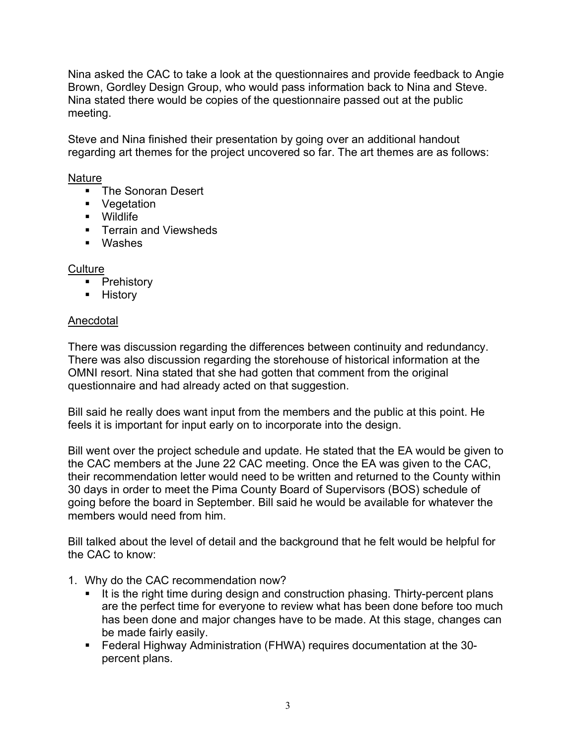Nina asked the CAC to take a look at the questionnaires and provide feedback to Angie Brown, Gordley Design Group, who would pass information back to Nina and Steve. Nina stated there would be copies of the questionnaire passed out at the public meeting.

Steve and Nina finished their presentation by going over an additional handout regarding art themes for the project uncovered so far. The art themes are as follows:

## Nature

- The Sonoran Desert
- Vegetation
- Wildlife
- **Terrain and Viewsheds**
- Washes

**Culture** 

- **•** Prehistory
- **History**

# Anecdotal

There was discussion regarding the differences between continuity and redundancy. There was also discussion regarding the storehouse of historical information at the OMNI resort. Nina stated that she had gotten that comment from the original questionnaire and had already acted on that suggestion.

Bill said he really does want input from the members and the public at this point. He feels it is important for input early on to incorporate into the design.

Bill went over the project schedule and update. He stated that the EA would be given to the CAC members at the June 22 CAC meeting. Once the EA was given to the CAC, their recommendation letter would need to be written and returned to the County within 30 days in order to meet the Pima County Board of Supervisors (BOS) schedule of going before the board in September. Bill said he would be available for whatever the members would need from him.

Bill talked about the level of detail and the background that he felt would be helpful for the CAC to know:

- 1. Why do the CAC recommendation now?
	- It is the right time during design and construction phasing. Thirty-percent plans are the perfect time for everyone to review what has been done before too much has been done and major changes have to be made. At this stage, changes can be made fairly easily.
	- Federal Highway Administration (FHWA) requires documentation at the 30 percent plans.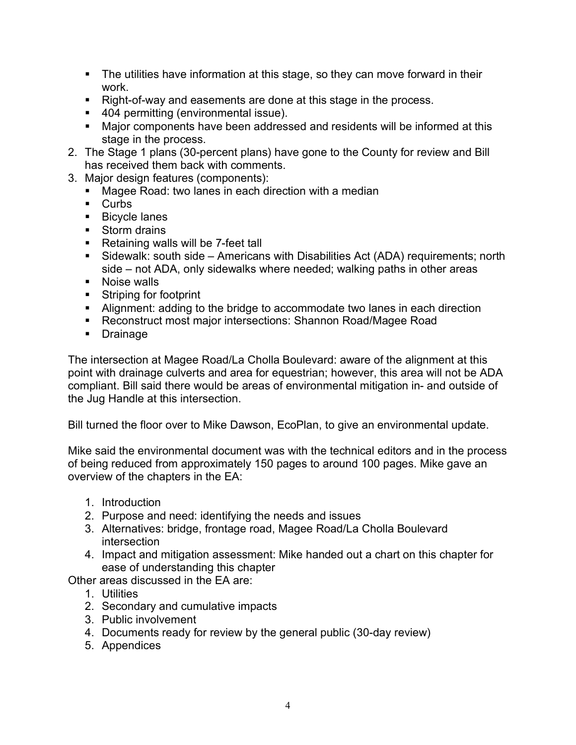- The utilities have information at this stage, so they can move forward in their work.
- Right-of-way and easements are done at this stage in the process.
- 404 permitting (environmental issue).
- Major components have been addressed and residents will be informed at this stage in the process.
- 2. The Stage 1 plans (30-percent plans) have gone to the County for review and Bill has received them back with comments.
- 3. Major design features (components):
	- Magee Road: two lanes in each direction with a median
	- **Curbs**
	- **Bicycle lanes**
	- Storm drains
	- Retaining walls will be 7-feet tall
	- Sidewalk: south side Americans with Disabilities Act (ADA) requirements; north side – not ADA, only sidewalks where needed; walking paths in other areas
	- **Noise walls**
	- **Striping for footprint**
	- Alignment: adding to the bridge to accommodate two lanes in each direction
	- Reconstruct most major intersections: Shannon Road/Magee Road
	- **Drainage**

The intersection at Magee Road/La Cholla Boulevard: aware of the alignment at this point with drainage culverts and area for equestrian; however, this area will not be ADA compliant. Bill said there would be areas of environmental mitigation in- and outside of the Jug Handle at this intersection.

Bill turned the floor over to Mike Dawson, EcoPlan, to give an environmental update.

Mike said the environmental document was with the technical editors and in the process of being reduced from approximately 150 pages to around 100 pages. Mike gave an overview of the chapters in the EA:

- 1. Introduction
- 2. Purpose and need: identifying the needs and issues
- 3. Alternatives: bridge, frontage road, Magee Road/La Cholla Boulevard intersection
- 4. Impact and mitigation assessment: Mike handed out a chart on this chapter for ease of understanding this chapter

Other areas discussed in the EA are:

- 1. Utilities
- 2. Secondary and cumulative impacts
- 3. Public involvement
- 4. Documents ready for review by the general public (30-day review)
- 5. Appendices